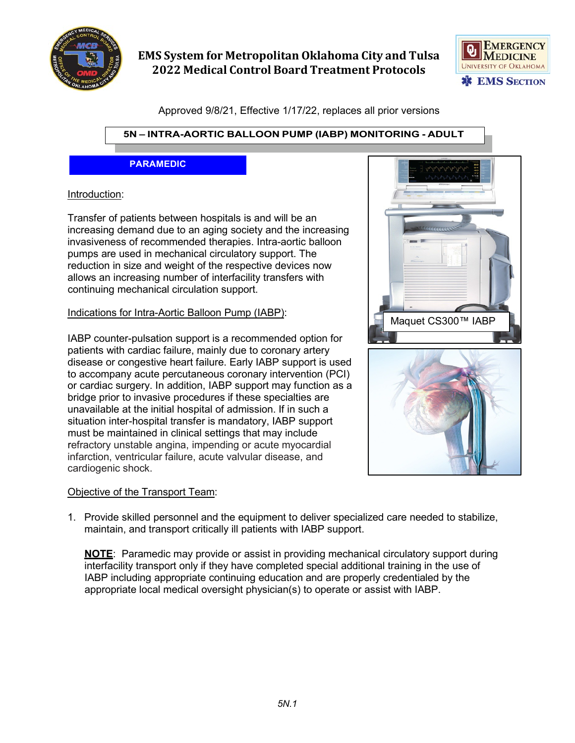



Approved 9/8/21, Effective 1/17/22, replaces all prior versions

### **5N – INTRA-AORTIC BALLOON PUMP (IABP) MONITORING - ADULT**

#### **PARAMEDIC**

#### Introduction:

Transfer of patients between hospitals is and will be an increasing demand due to an aging society and the increasing invasiveness of recommended therapies. Intra-aortic balloon pumps are used in mechanical circulatory support. The reduction in size and weight of the respective devices now allows an increasing number of interfacility transfers with continuing mechanical circulation support.

#### Indications for Intra-Aortic Balloon Pump (IABP):

IABP counter-pulsation support is a recommended option for patients with cardiac failure, mainly due to coronary artery disease or congestive heart failure. Early IABP support is used to accompany acute percutaneous coronary intervention (PCI) or cardiac surgery. In addition, IABP support may function as a bridge prior to invasive procedures if these specialties are unavailable at the initial hospital of admission. If in such a situation inter-hospital transfer is mandatory, IABP support must be maintained in clinical settings that may include refractory unstable angina, impending or acute myocardial infarction, ventricular failure, acute valvular disease, and cardiogenic shock.

#### Objective of the Transport Team:

1. Provide skilled personnel and the equipment to deliver specialized care needed to stabilize, maintain, and transport critically ill patients with IABP support.

**NOTE**: Paramedic may provide or assist in providing mechanical circulatory support during interfacility transport only if they have completed special additional training in the use of IABP including appropriate continuing education and are properly credentialed by the appropriate local medical oversight physician(s) to operate or assist with IABP.

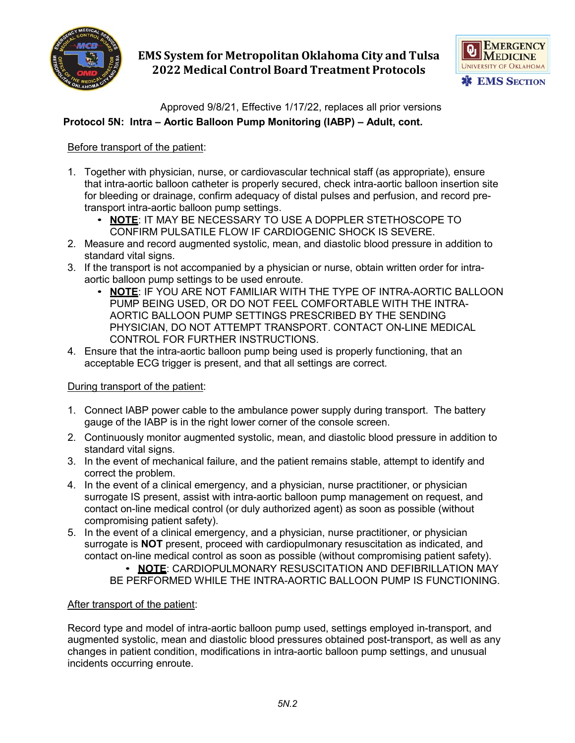



Approved 9/8/21, Effective 1/17/22, replaces all prior versions

### **Protocol 5N: Intra – Aortic Balloon Pump Monitoring (IABP) – Adult, cont.**

### Before transport of the patient:

- 1. Together with physician, nurse, or cardiovascular technical staff (as appropriate), ensure that intra-aortic balloon catheter is properly secured, check intra-aortic balloon insertion site for bleeding or drainage, confirm adequacy of distal pulses and perfusion, and record pretransport intra-aortic balloon pump settings.
	- **NOTE**: IT MAY BE NECESSARY TO USE A DOPPLER STETHOSCOPE TO CONFIRM PULSATILE FLOW IF CARDIOGENIC SHOCK IS SEVERE.
- 2. Measure and record augmented systolic, mean, and diastolic blood pressure in addition to standard vital signs.
- 3. If the transport is not accompanied by a physician or nurse, obtain written order for intraaortic balloon pump settings to be used enroute.
	- **NOTE**: IF YOU ARE NOT FAMILIAR WITH THE TYPE OF INTRA-AORTIC BALLOON PUMP BEING USED, OR DO NOT FEEL COMFORTABLE WITH THE INTRA-AORTIC BALLOON PUMP SETTINGS PRESCRIBED BY THE SENDING PHYSICIAN, DO NOT ATTEMPT TRANSPORT. CONTACT ON-LINE MEDICAL CONTROL FOR FURTHER INSTRUCTIONS.
- 4. Ensure that the intra-aortic balloon pump being used is properly functioning, that an acceptable ECG trigger is present, and that all settings are correct.

#### During transport of the patient:

- 1. Connect IABP power cable to the ambulance power supply during transport. The battery gauge of the IABP is in the right lower corner of the console screen.
- 2. Continuously monitor augmented systolic, mean, and diastolic blood pressure in addition to standard vital signs.
- 3. In the event of mechanical failure, and the patient remains stable, attempt to identify and correct the problem.
- 4. In the event of a clinical emergency, and a physician, nurse practitioner, or physician surrogate IS present, assist with intra-aortic balloon pump management on request, and contact on-line medical control (or duly authorized agent) as soon as possible (without compromising patient safety).
- 5. In the event of a clinical emergency, and a physician, nurse practitioner, or physician surrogate is **NOT** present, proceed with cardiopulmonary resuscitation as indicated, and contact on-line medical control as soon as possible (without compromising patient safety).

• **NOTE**: CARDIOPULMONARY RESUSCITATION AND DEFIBRILLATION MAY BE PERFORMED WHILE THE INTRA-AORTIC BALLOON PUMP IS FUNCTIONING.

#### After transport of the patient:

Record type and model of intra-aortic balloon pump used, settings employed in-transport, and augmented systolic, mean and diastolic blood pressures obtained post-transport, as well as any changes in patient condition, modifications in intra-aortic balloon pump settings, and unusual incidents occurring enroute.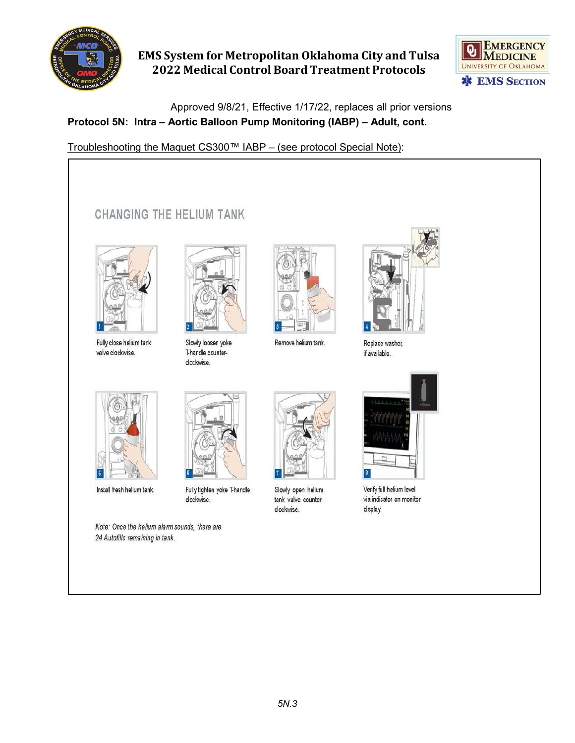



Approved 9/8/21, Effective 1/17/22, replaces all prior versions

### **Protocol 5N: Intra – Aortic Balloon Pump Monitoring (IABP) – Adult, cont.**

Troubleshooting the Maquet CS300™ IABP – (see protocol Special Note):

# CHANGING THE HELIUM TANK



Fully close helium tank valve clockwise.



Slowly loosen yoke T-handle counterclockwise.

Fully tighten yoke T-handle

clockwise.



Remove helium tank.



Replace washer, if available.



Verify full helium level via indicator on monitor display.



Install fresh helium tank.

Note: Once the helium alarm sounds, there are 24 Autofills remaining in tank.



Slowly open helium tank valve counterclockwise.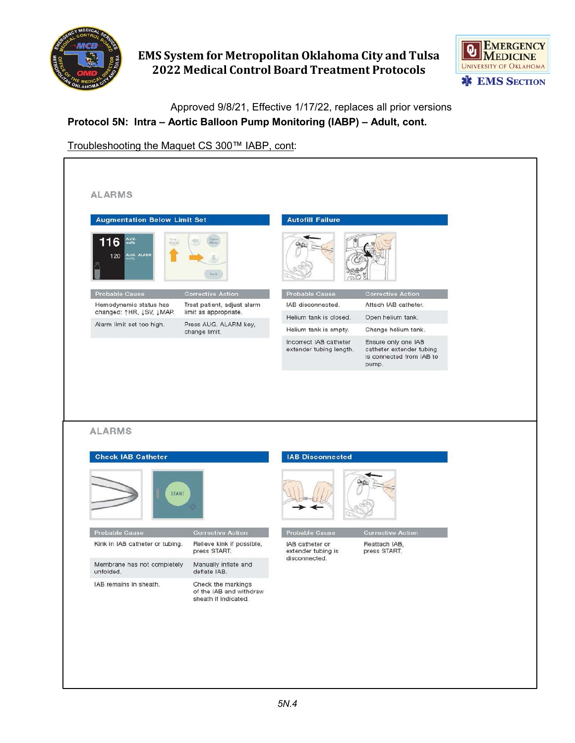



Approved 9/8/21, Effective 1/17/22, replaces all prior versions

## **Protocol 5N: Intra – Aortic Balloon Pump Monitoring (IABP) – Adult, cont.**

Troubleshooting the Maquet CS 300™ IABP, cont:

| <b>Augmentation Below Limit Set</b>                |                                                                       | <b>Autofill Failure</b>                           |                                                                                      |  |
|----------------------------------------------------|-----------------------------------------------------------------------|---------------------------------------------------|--------------------------------------------------------------------------------------|--|
| 116<br>AUG.<br>$A$ or $\alpha$<br>120 AUG. ALARM   | <b>Bock</b>                                                           |                                                   |                                                                                      |  |
| Probable Cause                                     | <b>Corrective Action</b>                                              | Probable Cause                                    | <b>Corrective Action</b>                                                             |  |
| Hemodynamic status has<br>changed: ↑HR, ↓SV, ↓MAP. | Treat patient, adjust alarm<br>limit as appropriate.                  | IAB disconnected.                                 | Attach IAB catheter.                                                                 |  |
| Alarm limit set too high.                          | Press AUG. ALARM key,                                                 | Helium tank is closed.                            | Open helium tank.                                                                    |  |
|                                                    | change limit.                                                         | Helium tank is empty.                             | Change helium tank.                                                                  |  |
|                                                    |                                                                       | Incorrect IAB catheter<br>extender tubing length. | Ensure only one IAB<br>catheter extender tubing<br>is connected from IAB to<br>pump. |  |
| <b>ALARMS</b><br><b>Check IAB Catheter</b>         |                                                                       | <b>IAB Disconnected</b>                           |                                                                                      |  |
|                                                    |                                                                       |                                                   |                                                                                      |  |
| START                                              |                                                                       |                                                   |                                                                                      |  |
| Probable Cause                                     | <b>Corrective Action</b>                                              | Probable Cause                                    | <b>Corrective Action</b>                                                             |  |
| Kink in IAB catheter or tubing.                    | Relieve kink if possible,<br>press START.                             | IAB catheter or<br>extender tubing is             | Reattach IAB,<br>press START.                                                        |  |
| Membrane has not completely<br>unfolded.           | Manually inflate and<br>deflate IAB.                                  | disconnected.                                     |                                                                                      |  |
| IAB remains in sheath.                             | Check the markings<br>of the IAB and withdraw<br>sheath if indicated. |                                                   |                                                                                      |  |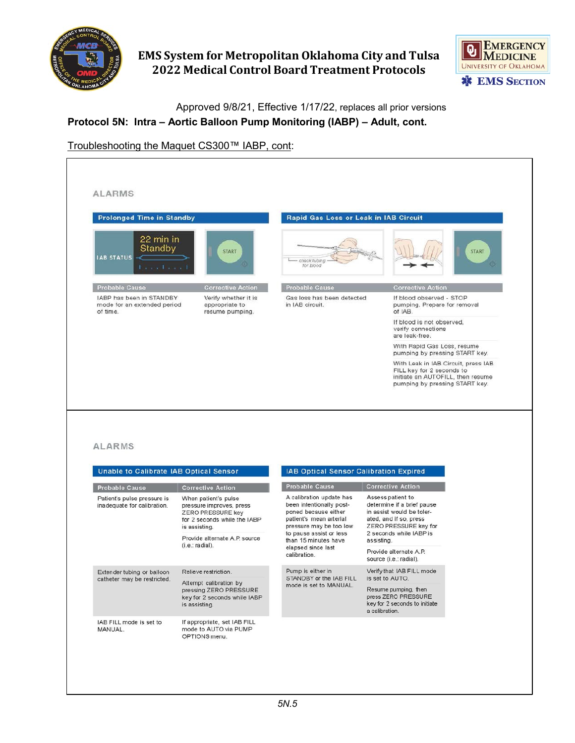



ı

Approved 9/8/21, Effective 1/17/22, replaces all prior versions

### **Protocol 5N: Intra – Aortic Balloon Pump Monitoring (IABP) – Adult, cont.**

### Troubleshooting the Maquet CS300™ IABP, cont:

| <b>Prolonged Time in Standby</b>                                             |                                                                                                                                                                                     | Rapid Gas Loss or Leak in IAB Circuit                                                                                                                                                                   |                                                                                                                                                                                                      |
|------------------------------------------------------------------------------|-------------------------------------------------------------------------------------------------------------------------------------------------------------------------------------|---------------------------------------------------------------------------------------------------------------------------------------------------------------------------------------------------------|------------------------------------------------------------------------------------------------------------------------------------------------------------------------------------------------------|
| 22 min in<br>Standby<br><b>IAB STATUS</b><br><b>Expecting of</b>             | <b>START</b>                                                                                                                                                                        | check tubing<br>for blood                                                                                                                                                                               | <b>START</b>                                                                                                                                                                                         |
| <b>Probable Cause</b>                                                        | <b>Corrective Action</b>                                                                                                                                                            | Probable Cause                                                                                                                                                                                          | <b>Corrective Action</b>                                                                                                                                                                             |
| IABP has been in STANDBY<br>mode for an extended period<br>of time.          | Verify whether it is<br>appropriate to<br>resume pumping.                                                                                                                           | Gas loss has been detected<br>in IAB circuit.                                                                                                                                                           | If blood observed - STOP<br>pumping. Prepare for removal<br>of IAB.                                                                                                                                  |
|                                                                              |                                                                                                                                                                                     |                                                                                                                                                                                                         | If blood is not observed,<br>verify connections<br>are leak-free.                                                                                                                                    |
|                                                                              |                                                                                                                                                                                     |                                                                                                                                                                                                         | With Rapid Gas Loss, resume<br>pumping by pressing START key.                                                                                                                                        |
|                                                                              |                                                                                                                                                                                     |                                                                                                                                                                                                         | With Leak in IAB Circuit, press IAB                                                                                                                                                                  |
|                                                                              |                                                                                                                                                                                     |                                                                                                                                                                                                         | FILL key for 2 seconds to<br>initiate an AUTOFILL, then resume<br>pumping by pressing START key.                                                                                                     |
|                                                                              |                                                                                                                                                                                     |                                                                                                                                                                                                         |                                                                                                                                                                                                      |
| <b>ALARMS</b><br>Unable to Calibrate IAB Optical Sensor                      |                                                                                                                                                                                     | IAB Optical Sensor Calibration Expired                                                                                                                                                                  |                                                                                                                                                                                                      |
| Probable Cause<br>Patient's pulse pressure is<br>inadequate for calibration. | <b>Corrective Action</b><br>When patient's pulse<br>pressure improves, press<br>ZERO PRESSURE key<br>for 2 seconds while the IABP<br>is assisting.<br>Provide alternate A.P. source | Probable Cause<br>A calibration update has<br>been intentionally post-<br>poned because either<br>patient's mean arterial<br>pressure may be too low<br>to pause assist or less<br>than 15 minutes have | <b>Corrective Action</b><br>Assess patient to<br>determine if a brief pause<br>in assist would be toler-<br>ated, and if so, press<br>ZERO PRESSURE key for<br>2 seconds while IABP is<br>assisting. |
|                                                                              | $(i.e.:$ radial).                                                                                                                                                                   | elapsed since last<br>calibration.                                                                                                                                                                      | Provide alternate A.P.<br>source (i.e.: radial).                                                                                                                                                     |
| Extender tubing or balloon                                                   | Relieve restriction.                                                                                                                                                                | Pump is either in                                                                                                                                                                                       | Verify that IAB FILL mode                                                                                                                                                                            |
| catheter may be restricted.                                                  | Attempt calibration by<br>pressing ZERO PRESSURE                                                                                                                                    | STANDBY or the IAB FILL<br>mode is set to MANUAL.                                                                                                                                                       | is set to AUTO.<br>Resume pumping, then                                                                                                                                                              |